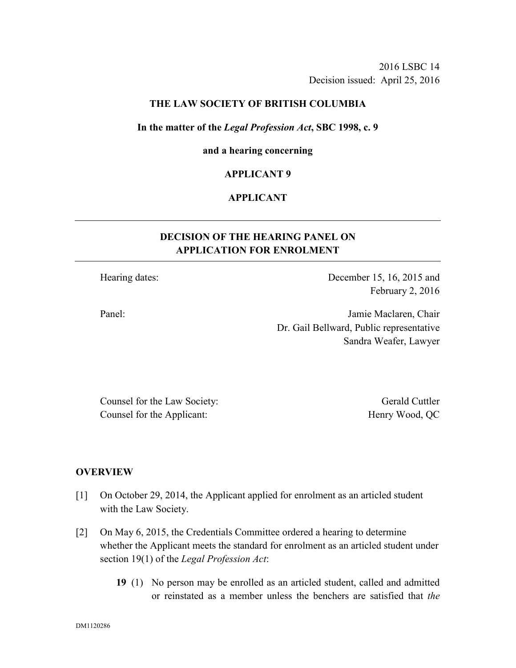2016 LSBC 14 Decision issued: April 25, 2016

# **THE LAW SOCIETY OF BRITISH COLUMBIA**

#### **In the matter of the** *Legal Profession Act***, SBC 1998, c. 9**

# **and a hearing concerning**

# **APPLICANT 9**

# **APPLICANT**

# **DECISION OF THE HEARING PANEL ON APPLICATION FOR ENROLMENT**

Hearing dates: December 15, 16, 2015 and February 2, 2016

Panel: Jamie Maclaren, Chair Dr. Gail Bellward, Public representative Sandra Weafer, Lawyer

Counsel for the Law Society: Gerald Cuttler Counsel for the Applicant: Henry Wood, QC

# **OVERVIEW**

- [1] On October 29, 2014, the Applicant applied for enrolment as an articled student with the Law Society.
- [2] On May 6, 2015, the Credentials Committee ordered a hearing to determine whether the Applicant meets the standard for enrolment as an articled student under section 19(1) of the *Legal Profession Act*:
	- **19** (1) No person may be enrolled as an articled student, called and admitted or reinstated as a member unless the benchers are satisfied that *the*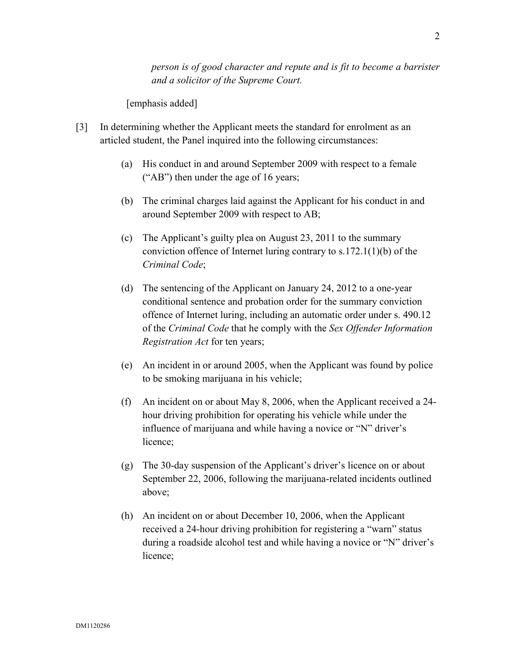*person is of good character and repute and is fit to become a barrister and a solicitor of the Supreme Court.*

[emphasis added]

- [3] In determining whether the Applicant meets the standard for enrolment as an articled student, the Panel inquired into the following circumstances:
	- (a) His conduct in and around September 2009 with respect to a female ("AB") then under the age of 16 years;
	- (b) The criminal charges laid against the Applicant for his conduct in and around September 2009 with respect to AB;
	- (c) The Applicant's guilty plea on August 23, 2011 to the summary conviction offence of Internet luring contrary to s.172.1(1)(b) of the *Criminal Code*;
	- (d) The sentencing of the Applicant on January 24, 2012 to a one-year conditional sentence and probation order for the summary conviction offence of Internet luring, including an automatic order under s. 490.12 of the *Criminal Code* that he comply with the *Sex Offender Information Registration Act* for ten years;
	- (e) An incident in or around 2005, when the Applicant was found by police to be smoking marijuana in his vehicle;
	- (f) An incident on or about May 8, 2006, when the Applicant received a 24 hour driving prohibition for operating his vehicle while under the influence of marijuana and while having a novice or "N" driver's licence;
	- (g) The 30-day suspension of the Applicant's driver's licence on or about September 22, 2006, following the marijuana-related incidents outlined above;
	- (h) An incident on or about December 10, 2006, when the Applicant received a 24-hour driving prohibition for registering a "warn" status during a roadside alcohol test and while having a novice or "N" driver's licence;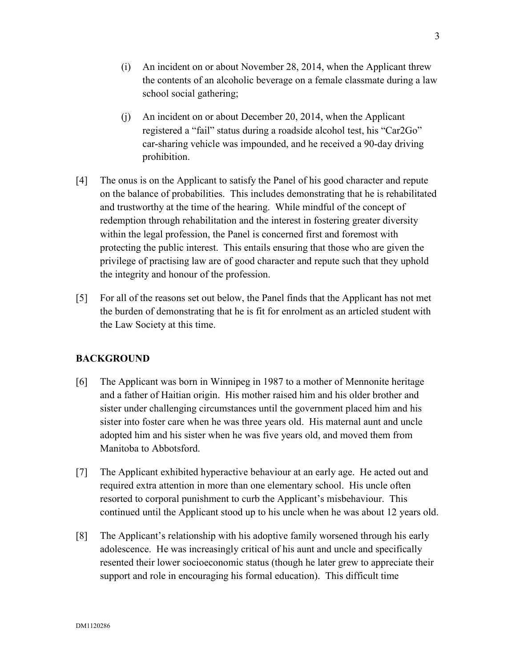- (i) An incident on or about November 28, 2014, when the Applicant threw the contents of an alcoholic beverage on a female classmate during a law school social gathering;
- (j) An incident on or about December 20, 2014, when the Applicant registered a "fail" status during a roadside alcohol test, his "Car2Go" car-sharing vehicle was impounded, and he received a 90-day driving prohibition.
- [4] The onus is on the Applicant to satisfy the Panel of his good character and repute on the balance of probabilities. This includes demonstrating that he is rehabilitated and trustworthy at the time of the hearing. While mindful of the concept of redemption through rehabilitation and the interest in fostering greater diversity within the legal profession, the Panel is concerned first and foremost with protecting the public interest. This entails ensuring that those who are given the privilege of practising law are of good character and repute such that they uphold the integrity and honour of the profession.
- [5] For all of the reasons set out below, the Panel finds that the Applicant has not met the burden of demonstrating that he is fit for enrolment as an articled student with the Law Society at this time.

# **BACKGROUND**

- [6] The Applicant was born in Winnipeg in 1987 to a mother of Mennonite heritage and a father of Haitian origin. His mother raised him and his older brother and sister under challenging circumstances until the government placed him and his sister into foster care when he was three years old. His maternal aunt and uncle adopted him and his sister when he was five years old, and moved them from Manitoba to Abbotsford.
- [7] The Applicant exhibited hyperactive behaviour at an early age. He acted out and required extra attention in more than one elementary school. His uncle often resorted to corporal punishment to curb the Applicant's misbehaviour. This continued until the Applicant stood up to his uncle when he was about 12 years old.
- [8] The Applicant's relationship with his adoptive family worsened through his early adolescence. He was increasingly critical of his aunt and uncle and specifically resented their lower socioeconomic status (though he later grew to appreciate their support and role in encouraging his formal education). This difficult time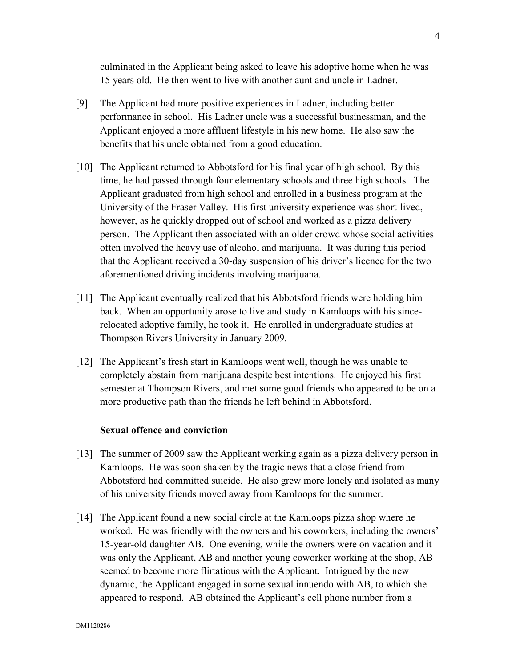culminated in the Applicant being asked to leave his adoptive home when he was 15 years old. He then went to live with another aunt and uncle in Ladner.

- [9] The Applicant had more positive experiences in Ladner, including better performance in school. His Ladner uncle was a successful businessman, and the Applicant enjoyed a more affluent lifestyle in his new home. He also saw the benefits that his uncle obtained from a good education.
- [10] The Applicant returned to Abbotsford for his final year of high school. By this time, he had passed through four elementary schools and three high schools. The Applicant graduated from high school and enrolled in a business program at the University of the Fraser Valley. His first university experience was short-lived, however, as he quickly dropped out of school and worked as a pizza delivery person. The Applicant then associated with an older crowd whose social activities often involved the heavy use of alcohol and marijuana. It was during this period that the Applicant received a 30-day suspension of his driver's licence for the two aforementioned driving incidents involving marijuana.
- [11] The Applicant eventually realized that his Abbotsford friends were holding him back. When an opportunity arose to live and study in Kamloops with his sincerelocated adoptive family, he took it. He enrolled in undergraduate studies at Thompson Rivers University in January 2009.
- [12] The Applicant's fresh start in Kamloops went well, though he was unable to completely abstain from marijuana despite best intentions. He enjoyed his first semester at Thompson Rivers, and met some good friends who appeared to be on a more productive path than the friends he left behind in Abbotsford.

# **Sexual offence and conviction**

- [13] The summer of 2009 saw the Applicant working again as a pizza delivery person in Kamloops. He was soon shaken by the tragic news that a close friend from Abbotsford had committed suicide. He also grew more lonely and isolated as many of his university friends moved away from Kamloops for the summer.
- [14] The Applicant found a new social circle at the Kamloops pizza shop where he worked. He was friendly with the owners and his coworkers, including the owners' 15-year-old daughter AB. One evening, while the owners were on vacation and it was only the Applicant, AB and another young coworker working at the shop, AB seemed to become more flirtatious with the Applicant. Intrigued by the new dynamic, the Applicant engaged in some sexual innuendo with AB, to which she appeared to respond. AB obtained the Applicant's cell phone number from a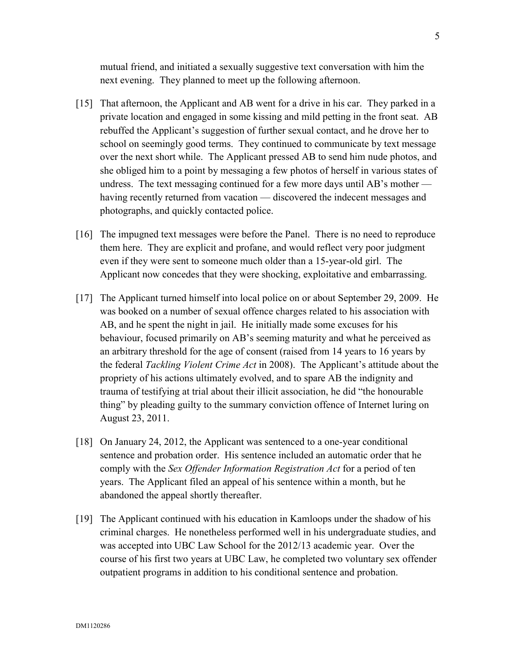mutual friend, and initiated a sexually suggestive text conversation with him the next evening. They planned to meet up the following afternoon.

- [15] That afternoon, the Applicant and AB went for a drive in his car. They parked in a private location and engaged in some kissing and mild petting in the front seat. AB rebuffed the Applicant's suggestion of further sexual contact, and he drove her to school on seemingly good terms. They continued to communicate by text message over the next short while. The Applicant pressed AB to send him nude photos, and she obliged him to a point by messaging a few photos of herself in various states of undress. The text messaging continued for a few more days until AB's mother having recently returned from vacation — discovered the indecent messages and photographs, and quickly contacted police.
- [16] The impugned text messages were before the Panel. There is no need to reproduce them here. They are explicit and profane, and would reflect very poor judgment even if they were sent to someone much older than a 15-year-old girl. The Applicant now concedes that they were shocking, exploitative and embarrassing.
- [17] The Applicant turned himself into local police on or about September 29, 2009. He was booked on a number of sexual offence charges related to his association with AB, and he spent the night in jail. He initially made some excuses for his behaviour, focused primarily on AB's seeming maturity and what he perceived as an arbitrary threshold for the age of consent (raised from 14 years to 16 years by the federal *Tackling Violent Crime Act* in 2008). The Applicant's attitude about the propriety of his actions ultimately evolved, and to spare AB the indignity and trauma of testifying at trial about their illicit association, he did "the honourable thing" by pleading guilty to the summary conviction offence of Internet luring on August 23, 2011.
- [18] On January 24, 2012, the Applicant was sentenced to a one-year conditional sentence and probation order. His sentence included an automatic order that he comply with the *Sex Offender Information Registration Act* for a period of ten years. The Applicant filed an appeal of his sentence within a month, but he abandoned the appeal shortly thereafter.
- [19] The Applicant continued with his education in Kamloops under the shadow of his criminal charges. He nonetheless performed well in his undergraduate studies, and was accepted into UBC Law School for the 2012/13 academic year. Over the course of his first two years at UBC Law, he completed two voluntary sex offender outpatient programs in addition to his conditional sentence and probation.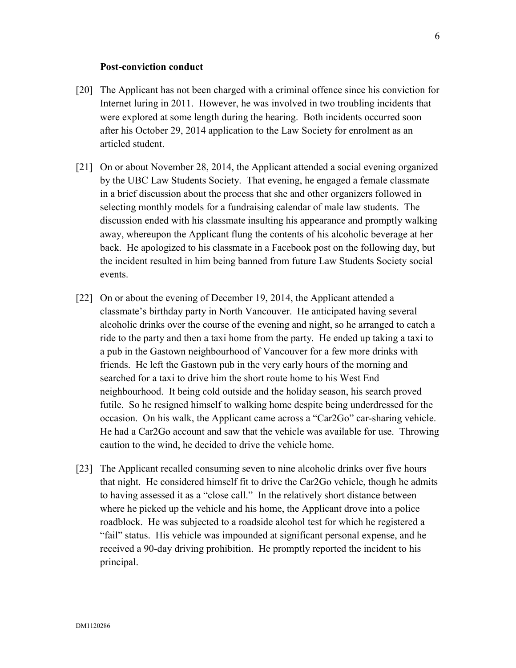# **Post-conviction conduct**

- [20] The Applicant has not been charged with a criminal offence since his conviction for Internet luring in 2011. However, he was involved in two troubling incidents that were explored at some length during the hearing. Both incidents occurred soon after his October 29, 2014 application to the Law Society for enrolment as an articled student.
- [21] On or about November 28, 2014, the Applicant attended a social evening organized by the UBC Law Students Society. That evening, he engaged a female classmate in a brief discussion about the process that she and other organizers followed in selecting monthly models for a fundraising calendar of male law students. The discussion ended with his classmate insulting his appearance and promptly walking away, whereupon the Applicant flung the contents of his alcoholic beverage at her back. He apologized to his classmate in a Facebook post on the following day, but the incident resulted in him being banned from future Law Students Society social events.
- [22] On or about the evening of December 19, 2014, the Applicant attended a classmate's birthday party in North Vancouver. He anticipated having several alcoholic drinks over the course of the evening and night, so he arranged to catch a ride to the party and then a taxi home from the party. He ended up taking a taxi to a pub in the Gastown neighbourhood of Vancouver for a few more drinks with friends. He left the Gastown pub in the very early hours of the morning and searched for a taxi to drive him the short route home to his West End neighbourhood. It being cold outside and the holiday season, his search proved futile. So he resigned himself to walking home despite being underdressed for the occasion. On his walk, the Applicant came across a "Car2Go" car-sharing vehicle. He had a Car2Go account and saw that the vehicle was available for use. Throwing caution to the wind, he decided to drive the vehicle home.
- [23] The Applicant recalled consuming seven to nine alcoholic drinks over five hours that night. He considered himself fit to drive the Car2Go vehicle, though he admits to having assessed it as a "close call." In the relatively short distance between where he picked up the vehicle and his home, the Applicant drove into a police roadblock. He was subjected to a roadside alcohol test for which he registered a "fail" status. His vehicle was impounded at significant personal expense, and he received a 90-day driving prohibition. He promptly reported the incident to his principal.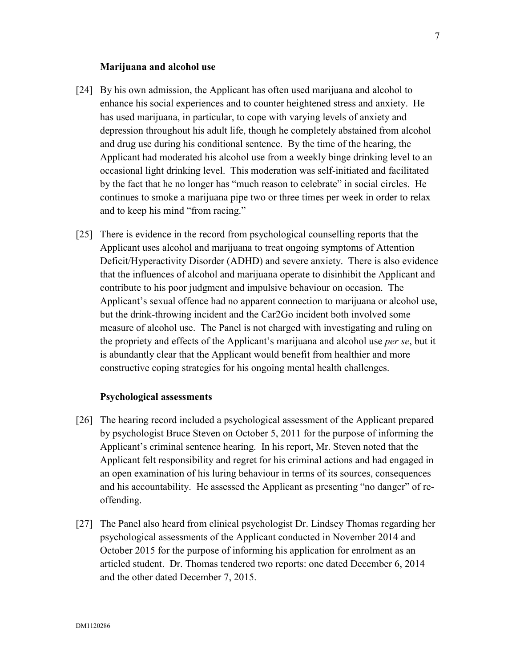#### **Marijuana and alcohol use**

- [24] By his own admission, the Applicant has often used marijuana and alcohol to enhance his social experiences and to counter heightened stress and anxiety. He has used marijuana, in particular, to cope with varying levels of anxiety and depression throughout his adult life, though he completely abstained from alcohol and drug use during his conditional sentence. By the time of the hearing, the Applicant had moderated his alcohol use from a weekly binge drinking level to an occasional light drinking level. This moderation was self-initiated and facilitated by the fact that he no longer has "much reason to celebrate" in social circles. He continues to smoke a marijuana pipe two or three times per week in order to relax and to keep his mind "from racing."
- [25] There is evidence in the record from psychological counselling reports that the Applicant uses alcohol and marijuana to treat ongoing symptoms of Attention Deficit/Hyperactivity Disorder (ADHD) and severe anxiety. There is also evidence that the influences of alcohol and marijuana operate to disinhibit the Applicant and contribute to his poor judgment and impulsive behaviour on occasion. The Applicant's sexual offence had no apparent connection to marijuana or alcohol use, but the drink-throwing incident and the Car2Go incident both involved some measure of alcohol use. The Panel is not charged with investigating and ruling on the propriety and effects of the Applicant's marijuana and alcohol use *per se*, but it is abundantly clear that the Applicant would benefit from healthier and more constructive coping strategies for his ongoing mental health challenges.

#### **Psychological assessments**

- [26] The hearing record included a psychological assessment of the Applicant prepared by psychologist Bruce Steven on October 5, 2011 for the purpose of informing the Applicant's criminal sentence hearing. In his report, Mr. Steven noted that the Applicant felt responsibility and regret for his criminal actions and had engaged in an open examination of his luring behaviour in terms of its sources, consequences and his accountability. He assessed the Applicant as presenting "no danger" of reoffending.
- [27] The Panel also heard from clinical psychologist Dr. Lindsey Thomas regarding her psychological assessments of the Applicant conducted in November 2014 and October 2015 for the purpose of informing his application for enrolment as an articled student. Dr. Thomas tendered two reports: one dated December 6, 2014 and the other dated December 7, 2015.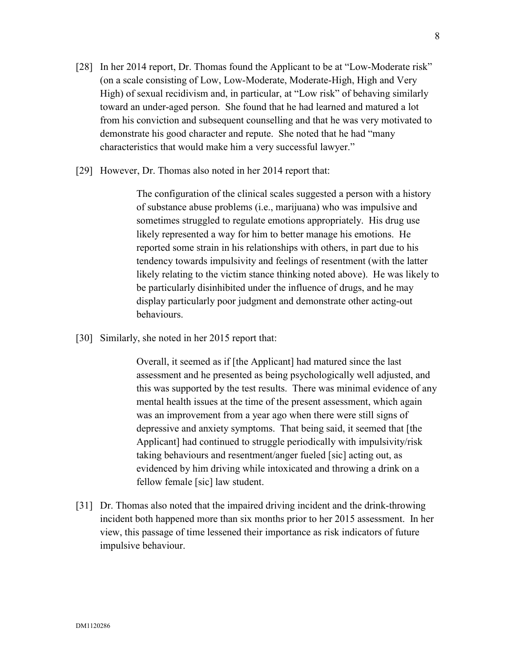- [28] In her 2014 report, Dr. Thomas found the Applicant to be at "Low-Moderate risk" (on a scale consisting of Low, Low-Moderate, Moderate-High, High and Very High) of sexual recidivism and, in particular, at "Low risk" of behaving similarly toward an under-aged person. She found that he had learned and matured a lot from his conviction and subsequent counselling and that he was very motivated to demonstrate his good character and repute. She noted that he had "many characteristics that would make him a very successful lawyer."
- [29] However, Dr. Thomas also noted in her 2014 report that:

The configuration of the clinical scales suggested a person with a history of substance abuse problems (i.e., marijuana) who was impulsive and sometimes struggled to regulate emotions appropriately. His drug use likely represented a way for him to better manage his emotions. He reported some strain in his relationships with others, in part due to his tendency towards impulsivity and feelings of resentment (with the latter likely relating to the victim stance thinking noted above). He was likely to be particularly disinhibited under the influence of drugs, and he may display particularly poor judgment and demonstrate other acting-out behaviours.

[30] Similarly, she noted in her 2015 report that:

Overall, it seemed as if [the Applicant] had matured since the last assessment and he presented as being psychologically well adjusted, and this was supported by the test results. There was minimal evidence of any mental health issues at the time of the present assessment, which again was an improvement from a year ago when there were still signs of depressive and anxiety symptoms. That being said, it seemed that [the Applicant] had continued to struggle periodically with impulsivity/risk taking behaviours and resentment/anger fueled [sic] acting out, as evidenced by him driving while intoxicated and throwing a drink on a fellow female [sic] law student.

[31] Dr. Thomas also noted that the impaired driving incident and the drink-throwing incident both happened more than six months prior to her 2015 assessment. In her view, this passage of time lessened their importance as risk indicators of future impulsive behaviour.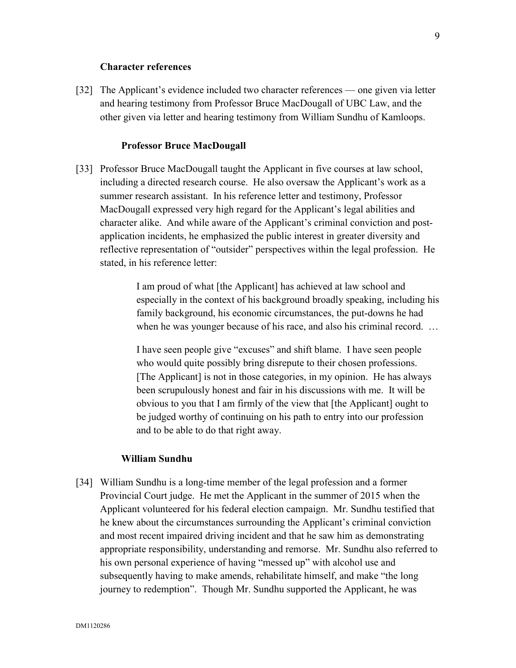#### **Character references**

[32] The Applicant's evidence included two character references — one given via letter and hearing testimony from Professor Bruce MacDougall of UBC Law, and the other given via letter and hearing testimony from William Sundhu of Kamloops.

#### **Professor Bruce MacDougall**

[33] Professor Bruce MacDougall taught the Applicant in five courses at law school, including a directed research course. He also oversaw the Applicant's work as a summer research assistant. In his reference letter and testimony, Professor MacDougall expressed very high regard for the Applicant's legal abilities and character alike. And while aware of the Applicant's criminal conviction and postapplication incidents, he emphasized the public interest in greater diversity and reflective representation of "outsider" perspectives within the legal profession. He stated, in his reference letter:

> I am proud of what [the Applicant] has achieved at law school and especially in the context of his background broadly speaking, including his family background, his economic circumstances, the put-downs he had when he was younger because of his race, and also his criminal record. ...

I have seen people give "excuses" and shift blame. I have seen people who would quite possibly bring disrepute to their chosen professions. [The Applicant] is not in those categories, in my opinion. He has always been scrupulously honest and fair in his discussions with me. It will be obvious to you that I am firmly of the view that [the Applicant] ought to be judged worthy of continuing on his path to entry into our profession and to be able to do that right away.

#### **William Sundhu**

[34] William Sundhu is a long-time member of the legal profession and a former Provincial Court judge. He met the Applicant in the summer of 2015 when the Applicant volunteered for his federal election campaign. Mr. Sundhu testified that he knew about the circumstances surrounding the Applicant's criminal conviction and most recent impaired driving incident and that he saw him as demonstrating appropriate responsibility, understanding and remorse. Mr. Sundhu also referred to his own personal experience of having "messed up" with alcohol use and subsequently having to make amends, rehabilitate himself, and make "the long journey to redemption". Though Mr. Sundhu supported the Applicant, he was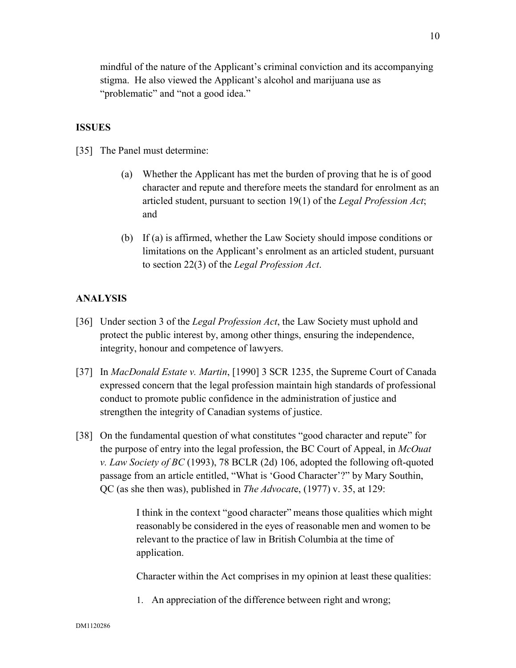mindful of the nature of the Applicant's criminal conviction and its accompanying stigma. He also viewed the Applicant's alcohol and marijuana use as "problematic" and "not a good idea."

# **ISSUES**

[35] The Panel must determine:

- (a) Whether the Applicant has met the burden of proving that he is of good character and repute and therefore meets the standard for enrolment as an articled student, pursuant to section 19(1) of the *Legal Profession Act*; and
- (b) If (a) is affirmed, whether the Law Society should impose conditions or limitations on the Applicant's enrolment as an articled student, pursuant to section 22(3) of the *Legal Profession Act*.

# **ANALYSIS**

- [36] Under section 3 of the *Legal Profession Act*, the Law Society must uphold and protect the public interest by, among other things, ensuring the independence, integrity, honour and competence of lawyers.
- [37] In *MacDonald Estate v. Martin*, [1990] 3 SCR 1235, the Supreme Court of Canada expressed concern that the legal profession maintain high standards of professional conduct to promote public confidence in the administration of justice and strengthen the integrity of Canadian systems of justice.
- [38] On the fundamental question of what constitutes "good character and repute" for the purpose of entry into the legal profession, the BC Court of Appeal, in *McOuat v. Law Society of BC* (1993), 78 BCLR (2d) 106, adopted the following oft-quoted passage from an article entitled, "What is 'Good Character'?" by Mary Southin, QC (as she then was), published in *The Advocat*e, (1977) v. 35, at 129:

I think in the context "good character" means those qualities which might reasonably be considered in the eyes of reasonable men and women to be relevant to the practice of law in British Columbia at the time of application.

Character within the Act comprises in my opinion at least these qualities:

1. An appreciation of the difference between right and wrong;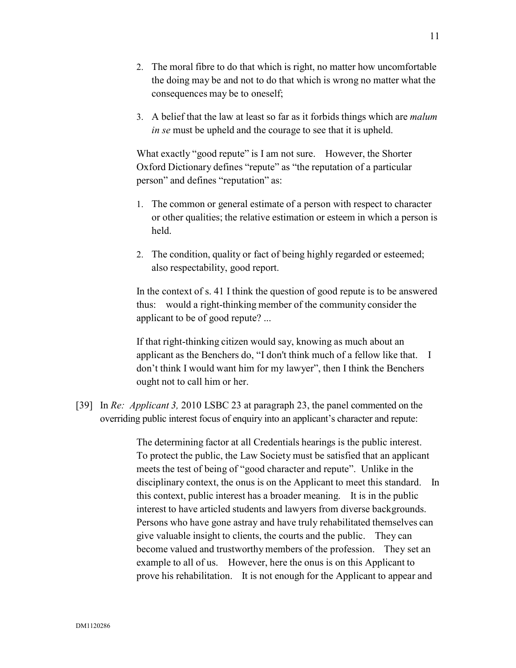- 2. The moral fibre to do that which is right, no matter how uncomfortable the doing may be and not to do that which is wrong no matter what the consequences may be to oneself;
- 3. A belief that the law at least so far as it forbids things which are *malum in se* must be upheld and the courage to see that it is upheld.

What exactly "good repute" is I am not sure. However, the Shorter Oxford Dictionary defines "repute" as "the reputation of a particular person" and defines "reputation" as:

- 1. The common or general estimate of a person with respect to character or other qualities; the relative estimation or esteem in which a person is held.
- 2. The condition, quality or fact of being highly regarded or esteemed; also respectability, good report.

In the context of s. 41 I think the question of good repute is to be answered thus: would a right-thinking member of the community consider the applicant to be of good repute? ...

If that right-thinking citizen would say, knowing as much about an applicant as the Benchers do, "I don't think much of a fellow like that. I don't think I would want him for my lawyer", then I think the Benchers ought not to call him or her.

[39] In *Re: Applicant 3,* 2010 LSBC 23 at paragraph 23, the panel commented on the overriding public interest focus of enquiry into an applicant's character and repute:

> The determining factor at all Credentials hearings is the public interest. To protect the public, the Law Society must be satisfied that an applicant meets the test of being of "good character and repute". Unlike in the disciplinary context, the onus is on the Applicant to meet this standard. In this context, public interest has a broader meaning. It is in the public interest to have articled students and lawyers from diverse backgrounds. Persons who have gone astray and have truly rehabilitated themselves can give valuable insight to clients, the courts and the public. They can become valued and trustworthy members of the profession. They set an example to all of us. However, here the onus is on this Applicant to prove his rehabilitation. It is not enough for the Applicant to appear and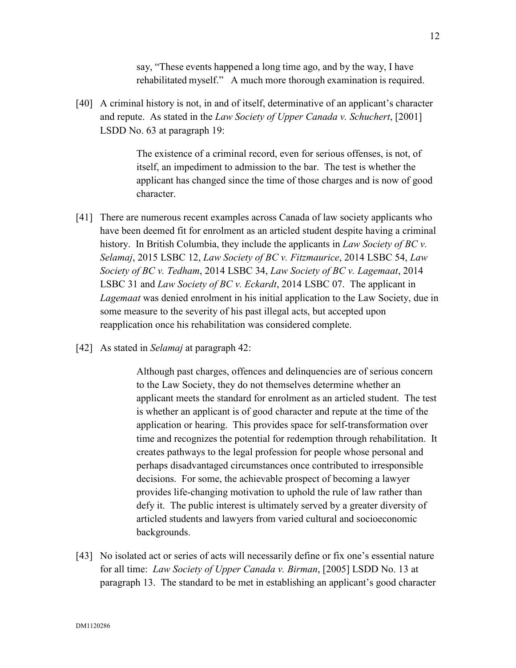say, "These events happened a long time ago, and by the way, I have rehabilitated myself." A much more thorough examination is required.

[40] A criminal history is not, in and of itself, determinative of an applicant's character and repute. As stated in the *Law Society of Upper Canada v. Schuchert*, [2001] LSDD No. 63 at paragraph 19:

> The existence of a criminal record, even for serious offenses, is not, of itself, an impediment to admission to the bar. The test is whether the applicant has changed since the time of those charges and is now of good character.

- [41] There are numerous recent examples across Canada of law society applicants who have been deemed fit for enrolment as an articled student despite having a criminal history. In British Columbia, they include the applicants in *Law Society of BC v. Selamaj*, 2015 LSBC 12, *Law Society of BC v. Fitzmaurice*, 2014 LSBC 54, *Law Society of BC v. Tedham*, 2014 LSBC 34, *Law Society of BC v. Lagemaat*, 2014 LSBC 31 and *Law Society of BC v. Eckardt*, 2014 LSBC 07. The applicant in *Lagemaat* was denied enrolment in his initial application to the Law Society, due in some measure to the severity of his past illegal acts, but accepted upon reapplication once his rehabilitation was considered complete.
- [42] As stated in *Selamaj* at paragraph 42:

Although past charges, offences and delinquencies are of serious concern to the Law Society, they do not themselves determine whether an applicant meets the standard for enrolment as an articled student. The test is whether an applicant is of good character and repute at the time of the application or hearing. This provides space for self-transformation over time and recognizes the potential for redemption through rehabilitation. It creates pathways to the legal profession for people whose personal and perhaps disadvantaged circumstances once contributed to irresponsible decisions. For some, the achievable prospect of becoming a lawyer provides life-changing motivation to uphold the rule of law rather than defy it. The public interest is ultimately served by a greater diversity of articled students and lawyers from varied cultural and socioeconomic backgrounds.

[43] No isolated act or series of acts will necessarily define or fix one's essential nature for all time: *Law Society of Upper Canada v. Birman*, [2005] LSDD No. 13 at paragraph 13. The standard to be met in establishing an applicant's good character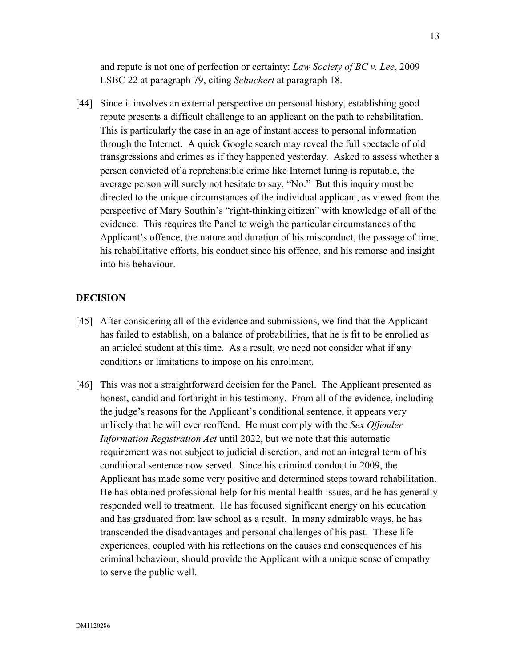and repute is not one of perfection or certainty: *Law Society of BC v. Lee*, 2009 LSBC 22 at paragraph 79, citing *Schuchert* at paragraph 18.

[44] Since it involves an external perspective on personal history, establishing good repute presents a difficult challenge to an applicant on the path to rehabilitation. This is particularly the case in an age of instant access to personal information through the Internet. A quick Google search may reveal the full spectacle of old transgressions and crimes as if they happened yesterday. Asked to assess whether a person convicted of a reprehensible crime like Internet luring is reputable, the average person will surely not hesitate to say, "No." But this inquiry must be directed to the unique circumstances of the individual applicant, as viewed from the perspective of Mary Southin's "right-thinking citizen" with knowledge of all of the evidence. This requires the Panel to weigh the particular circumstances of the Applicant's offence, the nature and duration of his misconduct, the passage of time, his rehabilitative efforts, his conduct since his offence, and his remorse and insight into his behaviour.

# **DECISION**

- [45] After considering all of the evidence and submissions, we find that the Applicant has failed to establish, on a balance of probabilities, that he is fit to be enrolled as an articled student at this time. As a result, we need not consider what if any conditions or limitations to impose on his enrolment.
- [46] This was not a straightforward decision for the Panel. The Applicant presented as honest, candid and forthright in his testimony. From all of the evidence, including the judge's reasons for the Applicant's conditional sentence, it appears very unlikely that he will ever reoffend. He must comply with the *Sex Offender Information Registration Act* until 2022, but we note that this automatic requirement was not subject to judicial discretion, and not an integral term of his conditional sentence now served. Since his criminal conduct in 2009, the Applicant has made some very positive and determined steps toward rehabilitation. He has obtained professional help for his mental health issues, and he has generally responded well to treatment. He has focused significant energy on his education and has graduated from law school as a result. In many admirable ways, he has transcended the disadvantages and personal challenges of his past. These life experiences, coupled with his reflections on the causes and consequences of his criminal behaviour, should provide the Applicant with a unique sense of empathy to serve the public well.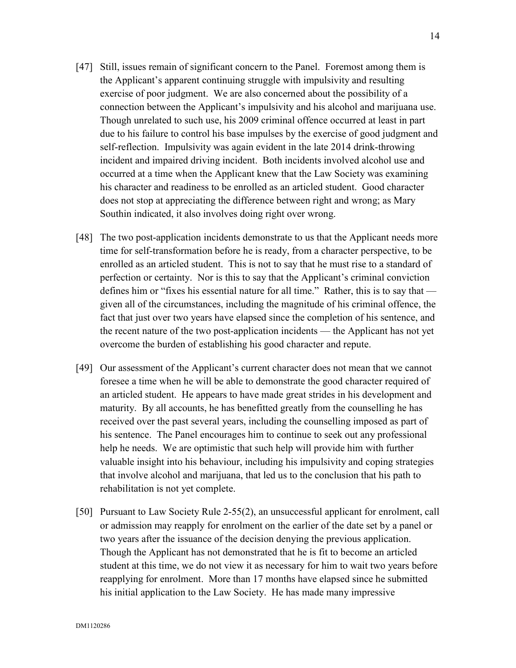- [47] Still, issues remain of significant concern to the Panel. Foremost among them is the Applicant's apparent continuing struggle with impulsivity and resulting exercise of poor judgment. We are also concerned about the possibility of a connection between the Applicant's impulsivity and his alcohol and marijuana use. Though unrelated to such use, his 2009 criminal offence occurred at least in part due to his failure to control his base impulses by the exercise of good judgment and self-reflection. Impulsivity was again evident in the late 2014 drink-throwing incident and impaired driving incident. Both incidents involved alcohol use and occurred at a time when the Applicant knew that the Law Society was examining his character and readiness to be enrolled as an articled student. Good character does not stop at appreciating the difference between right and wrong; as Mary Southin indicated, it also involves doing right over wrong.
- [48] The two post-application incidents demonstrate to us that the Applicant needs more time for self-transformation before he is ready, from a character perspective, to be enrolled as an articled student. This is not to say that he must rise to a standard of perfection or certainty. Nor is this to say that the Applicant's criminal conviction defines him or "fixes his essential nature for all time." Rather, this is to say that given all of the circumstances, including the magnitude of his criminal offence, the fact that just over two years have elapsed since the completion of his sentence, and the recent nature of the two post-application incidents — the Applicant has not yet overcome the burden of establishing his good character and repute.
- [49] Our assessment of the Applicant's current character does not mean that we cannot foresee a time when he will be able to demonstrate the good character required of an articled student. He appears to have made great strides in his development and maturity. By all accounts, he has benefitted greatly from the counselling he has received over the past several years, including the counselling imposed as part of his sentence. The Panel encourages him to continue to seek out any professional help he needs. We are optimistic that such help will provide him with further valuable insight into his behaviour, including his impulsivity and coping strategies that involve alcohol and marijuana, that led us to the conclusion that his path to rehabilitation is not yet complete.
- [50] Pursuant to Law Society Rule 2-55(2), an unsuccessful applicant for enrolment, call or admission may reapply for enrolment on the earlier of the date set by a panel or two years after the issuance of the decision denying the previous application. Though the Applicant has not demonstrated that he is fit to become an articled student at this time, we do not view it as necessary for him to wait two years before reapplying for enrolment. More than 17 months have elapsed since he submitted his initial application to the Law Society. He has made many impressive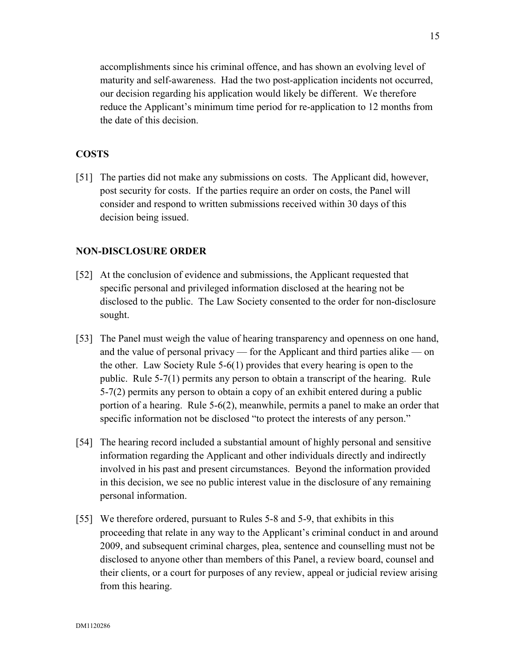accomplishments since his criminal offence, and has shown an evolving level of maturity and self-awareness. Had the two post-application incidents not occurred, our decision regarding his application would likely be different. We therefore reduce the Applicant's minimum time period for re-application to 12 months from the date of this decision.

# **COSTS**

[51] The parties did not make any submissions on costs. The Applicant did, however, post security for costs. If the parties require an order on costs, the Panel will consider and respond to written submissions received within 30 days of this decision being issued.

# **NON-DISCLOSURE ORDER**

- [52] At the conclusion of evidence and submissions, the Applicant requested that specific personal and privileged information disclosed at the hearing not be disclosed to the public. The Law Society consented to the order for non-disclosure sought.
- [53] The Panel must weigh the value of hearing transparency and openness on one hand, and the value of personal privacy — for the Applicant and third parties alike — on the other. Law Society Rule 5-6(1) provides that every hearing is open to the public. Rule 5-7(1) permits any person to obtain a transcript of the hearing. Rule 5-7(2) permits any person to obtain a copy of an exhibit entered during a public portion of a hearing. Rule 5-6(2), meanwhile, permits a panel to make an order that specific information not be disclosed "to protect the interests of any person."
- [54] The hearing record included a substantial amount of highly personal and sensitive information regarding the Applicant and other individuals directly and indirectly involved in his past and present circumstances. Beyond the information provided in this decision, we see no public interest value in the disclosure of any remaining personal information.
- [55] We therefore ordered, pursuant to Rules 5-8 and 5-9, that exhibits in this proceeding that relate in any way to the Applicant's criminal conduct in and around 2009, and subsequent criminal charges, plea, sentence and counselling must not be disclosed to anyone other than members of this Panel, a review board, counsel and their clients, or a court for purposes of any review, appeal or judicial review arising from this hearing.